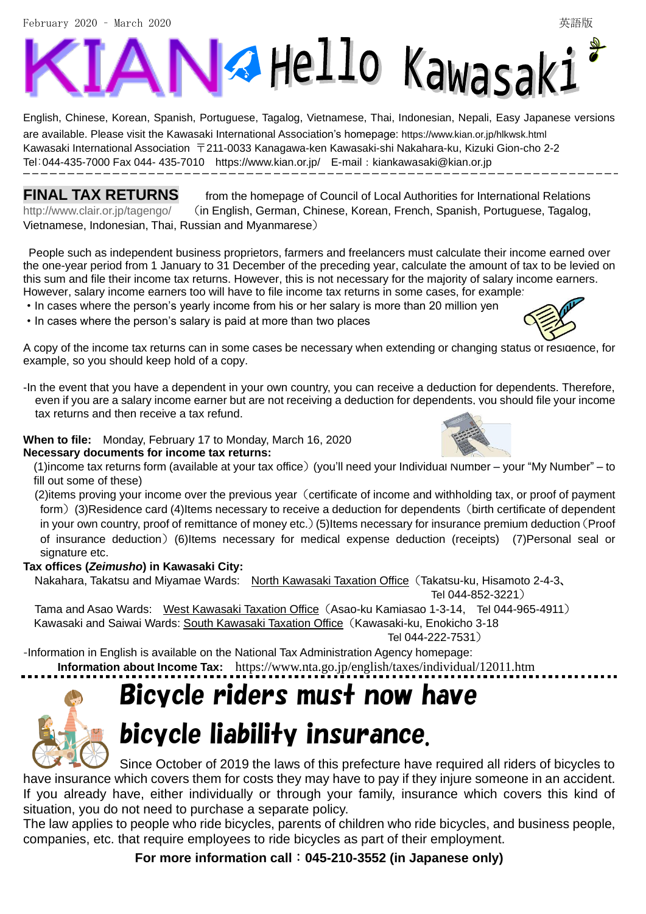February 2020 – March 2020 英語版

# Va Hello Kawasaki ł

English, Chinese, Korean, Spanish, Portuguese, Tagalog, Vietnamese, Thai, Indonesian, Nepali, Easy Japanese versions are available. Please visit the Kawasaki International Association's homepage: <https://www.kian.or.jp/hlkwsk.html> Kawasaki International Association 〒211-0033 Kanagawa-ken Kawasaki-shi Nakahara-ku, Kizuki Gion-cho 2-2 Tel:044-435-7000 Fax 044- 435-7010 <https://www.kian.or.jp/>E-mail:kiankawasaki@kian.or.jp ֺ

**FINAL TAX RETURNS** from the homepage of Council of Local Authorities for International Relations <http://www.clair.or.jp/tagengo/> (in English, German, Chinese, Korean, French, Spanish, Portuguese, Tagalog, Vietnamese, Indonesian, Thai, Russian and Myanmarese)

People such as independent business proprietors, farmers and freelancers must calculate their income earned over the one-year period from 1 January to 31 December of the preceding year, calculate the amount of tax to be levied on this sum and file their income tax returns. However, this is not necessary for the majority of salary income earners. However, salary income earners too will have to file income tax returns in some cases, for example:

・In cases where the person's yearly income from his or her salary is more than 20 million yen

・In cases where the person's salary is paid at more than two places

A copy of the income tax returns can in some cases be necessary when extending or changing status of residence, for example, so you should keep hold of a copy.

-In the event that you have a dependent in your own country, you can receive a deduction for dependents. Therefore, even if you are a salary income earner but are not receiving a deduction for dependents, you should file your income tax returns and then receive a tax refund.

### **When to file:** Monday, February 17 to Monday, March 16, 2020

#### **Necessary documents for income tax returns:**

(1)income tax returns form (available at your tax office)(you'll need your Individual Number – your "My Number" – to fill out some of these)

(2) items proving your income over the previous year (certificate of income and withholding tax, or proof of payment form) (3)Residence card (4)Items necessary to receive a deduction for dependents (birth certificate of dependent in your own country, proof of remittance of money etc.)(5)Items necessary for insurance premium deduction(Proof of insurance deduction)(6)Items necessary for medical expense deduction (receipts) (7)Personal seal or signature etc.

#### **Tax offices (***Zeimusho***) in Kawasaki City:**

Nakahara, Takatsu and Miyamae Wards: North Kawasaki Taxation Office(Takatsu-ku, Hisamoto 2-4-3、

Tel 044-852-3221)

Tama and Asao Wards: West Kawasaki Taxation Office (Asao-ku Kamiasao 1-3-14, Tel 044-965-4911)

Kawasaki and Saiwai Wards: South Kawasaki Taxation Office(Kawasaki-ku, Enokicho 3-18

Tel 044-222-7531)

-Information in English is available on the National Tax Administration Agency homepage:

**Information about Income Tax:** https://www.nta.go.jp/english/taxes/individual/12011.htm

# Bicycle riders must now have

bicycle liability insurance. Since October of 2019 the laws of this prefecture have required all riders of bicycles to

have insurance which covers them for costs they may have to pay if they injure someone in an accident. If you already have, either individually or through your family, insurance which covers this kind of situation, you do not need to purchase a separate policy.

The law applies to people who ride bicycles, parents of children who ride bicycles, and business people, companies, etc. that require employees to ride bicycles as part of their employment.

**For more information call**:**045-210-3552 (in Japanese only)**